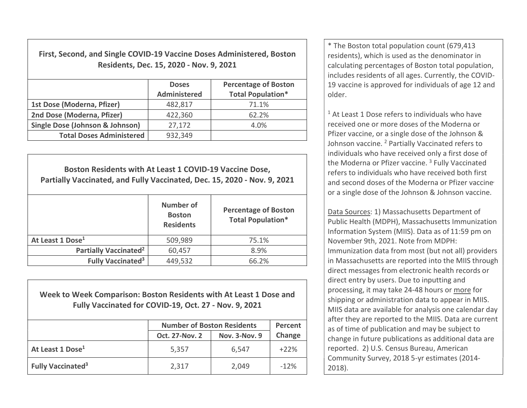First, Second, and Single COVID-19 Vaccine Doses Administered, Boston Residents, Dec. 15, 2020 - Nov. 9, 2021

|                                            | <b>Doses</b><br><b>Administered</b> | <b>Percentage of Boston</b><br><b>Total Population*</b> |
|--------------------------------------------|-------------------------------------|---------------------------------------------------------|
| 1st Dose (Moderna, Pfizer)                 | 482,817                             | 71.1%                                                   |
| 2nd Dose (Moderna, Pfizer)                 | 422,360                             | 62.2%                                                   |
| <b>Single Dose (Johnson &amp; Johnson)</b> | 27,172                              | 4.0%                                                    |
| <b>Total Doses Administered</b>            | 932,349                             |                                                         |

Boston Residents with At Least 1 COVID-19 Vaccine Dose, Partially Vaccinated, and Fully Vaccinated, Dec. 15, 2020 - Nov. 9, 2021 Number of **Boston Residents** Percentage of Boston Total Population\* At Least 1 Dose<sup>1</sup> 1509,989 15.1% Partially Vaccinated<sup>2</sup>  $\vert$  60,457  $\vert$  8.9% Fully Vaccinated<sup>3</sup>  $449,532$   $66.2\%$ 

Week to Week Comparison: Boston Residents with At Least 1 Dose and Fully Vaccinated for COVID-19, Oct. 27 - Nov. 9, 2021

|                                     | <b>Number of Boston Residents</b> | Percent              |        |
|-------------------------------------|-----------------------------------|----------------------|--------|
|                                     | <b>Oct. 27-Nov. 2</b>             | <b>Nov. 3-Nov. 9</b> | Change |
| At Least 1 Dose <sup>1</sup>        | 5,357                             | 6,547                | $+22%$ |
| <b>Fully Vaccinated<sup>3</sup></b> | 2,317                             | 2,049                | $-12%$ |

\* The Boston total population count (679,413 residents), which is used as the denominator in calculating percentages of Boston total population, includes residents of all ages. Currently, the COVID-19 vaccine is approved for individuals of age 12 and older.

<sup>1</sup> At Least 1 Dose refers to individuals who have received one or more doses of the Moderna or Pfizer vaccine, or a single dose of the Johnson & Johnson vaccine. <sup>2</sup> Partially Vaccinated refers to individuals who have received only a first dose of the Moderna or Pfizer vaccine.<sup>3</sup> Fully Vaccinated refers to individuals who have received both first and second doses of the Moderna or Pfizer vaccine or a single dose of the Johnson & Johnson vaccine.

Data Sources: 1) Massachusetts Department of Public Health (MDPH), Massachusetts Immunization Information System (MIIS). Data as of 11:59 pm on November 9th, 2021. Note from MDPH: Immunization data from most (but not all) providers in Massachusetts are reported into the MIIS through direct messages from electronic health records or direct entry by users. Due to inputting and processing, it may take 24-48 hours or more for shipping or administration data to appear in MIIS. MIIS data are available for analysis one calendar day after they are reported to the MIIS. Data are current as of time of publication and may be subject to change in future publications as additional data are reported. 2) U.S. Census Bureau, American Community Survey, 2018 5-yr estimates (2014- 2018).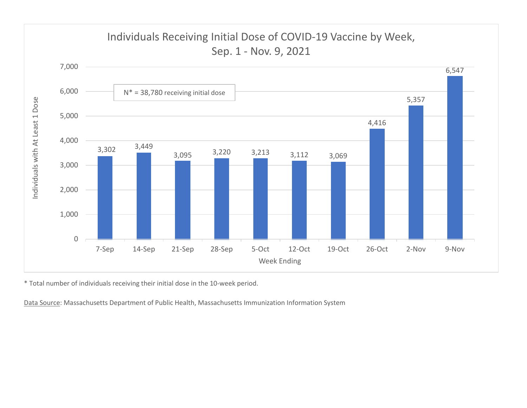

\* Total number of individuals receiving their initial dose in the 10-week period.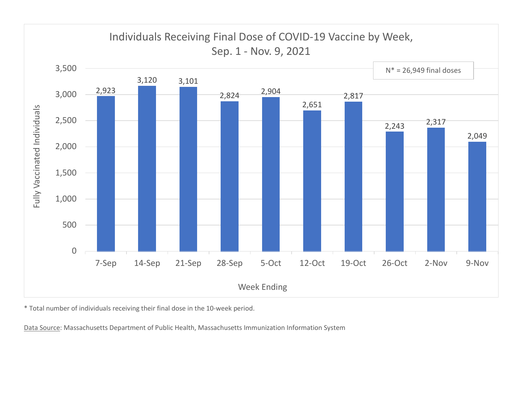

\* Total number of individuals receiving their final dose in the 10-week period.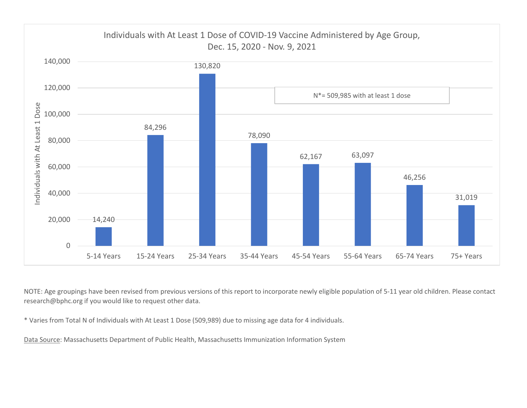

NOTE: Age groupings have been revised from previous versions of this report to incorporate newly eligible population of 5-11 year old children. Please contact research@bphc.org if you would like to request other data.

\* Varies from Total N of Individuals with At Least 1 Dose (509,989) due to missing age data for 4 individuals.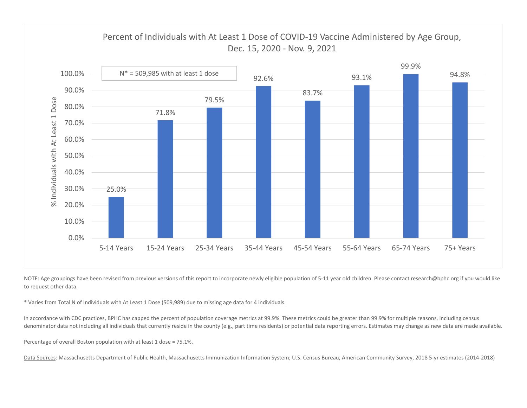

NOTE: Age groupings have been revised from previous versions of this report to incorporate newly eligible population of 5-11 year old children. Please contact research@bphc.org if you would like to request other data.

\* Varies from Total N of Individuals with At Least 1 Dose (509,989) due to missing age data for 4 individuals.

In accordance with CDC practices, BPHC has capped the percent of population coverage metrics at 99.9%. These metrics could be greater than 99.9% for multiple reasons, including census denominator data not including all individuals that currently reside in the county (e.g., part time residents) or potential data reporting errors. Estimates may change as new data are made available.

Percentage of overall Boston population with at least 1 dose = 75.1%.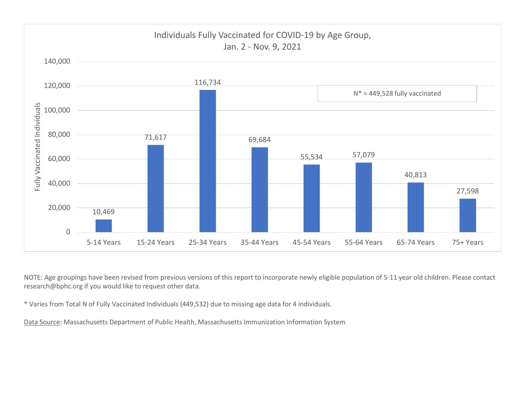

NOTE: Age groupings have been revised from previous versions of this report to incorporate newly eligible population of 5-11 year old children. Please contact research@bphc.org if you would like to request other data.

\* Varies from Total N of Fully Vaccinated Individuals (449,532) due to missing age data for 4 individuals.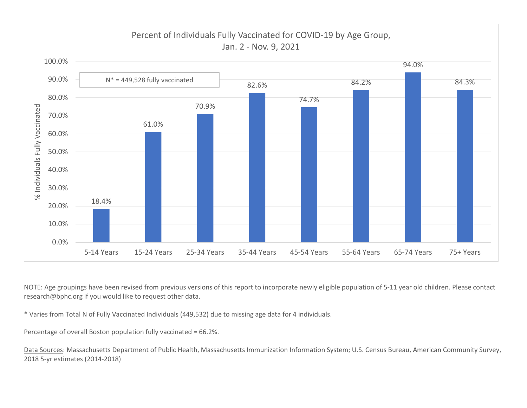

NOTE: Age groupings have been revised from previous versions of this report to incorporate newly eligible population of 5-11 year old children. Please contact research@bphc.org if you would like to request other data.

\* Varies from Total N of Fully Vaccinated Individuals (449,532) due to missing age data for 4 individuals.

Percentage of overall Boston population fully vaccinated = 66.2%.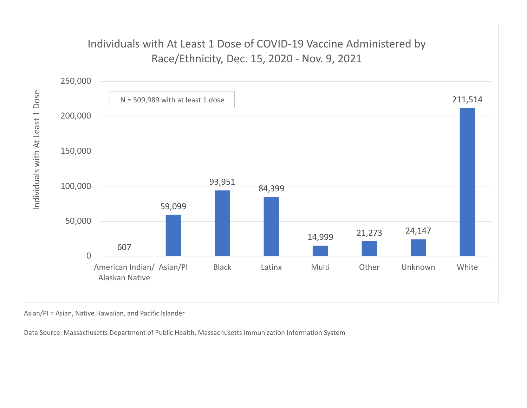## Individuals with At Least 1 Dose of COVID-19 Vaccine Administered by



Asian/PI = Asian, Native Hawaiian, and Pacific Islander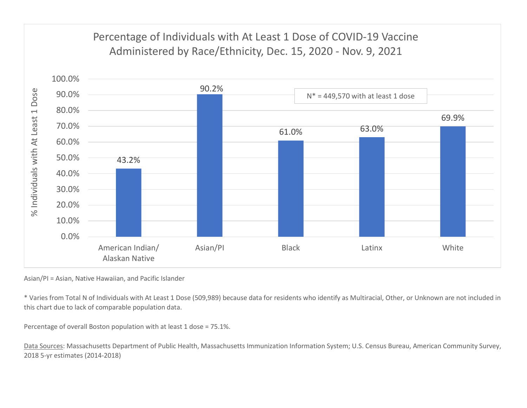

Asian/PI = Asian, Native Hawaiian, and Pacific Islander

\* Varies from Total N of Individuals with At Least 1 Dose (509,989) because data for residents who identify as Multiracial, Other, or Unknown are not included in this chart due to lack of comparable population data.

Percentage of overall Boston population with at least 1 dose = 75.1%.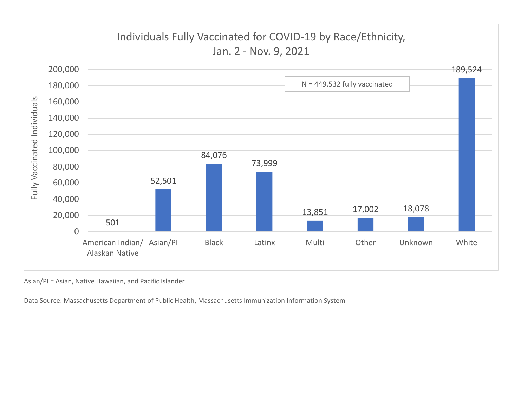

Asian/PI = Asian, Native Hawaiian, and Pacific Islander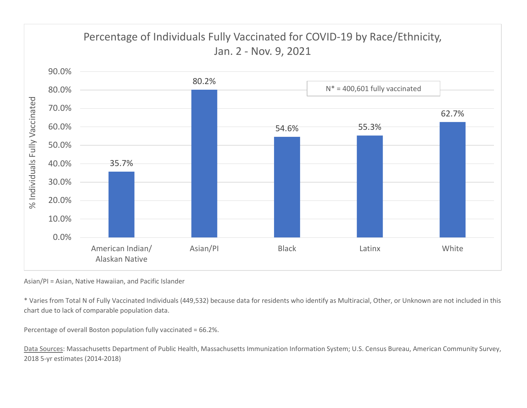

Asian/PI = Asian, Native Hawaiian, and Pacific Islander

\* Varies from Total N of Fully Vaccinated Individuals (449,532) because data for residents who identify as Multiracial, Other, or Unknown are not included in this chart due to lack of comparable population data.

Percentage of overall Boston population fully vaccinated = 66.2%.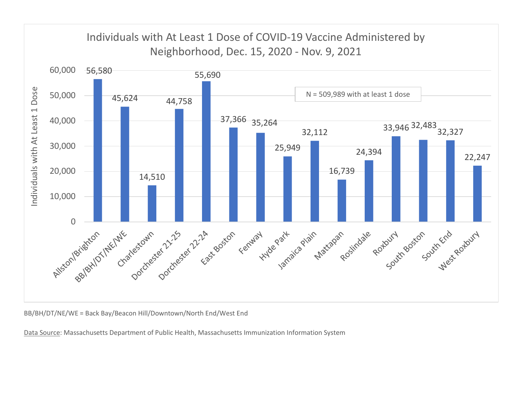

BB/BH/DT/NE/WE = Back Bay/Beacon Hill/Downtown/North End/West End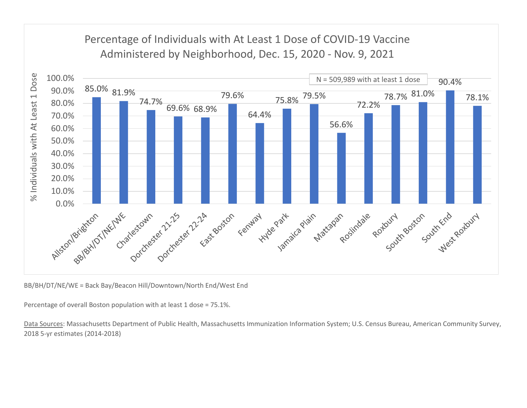

BB/BH/DT/NE/WE = Back Bay/Beacon Hill/Downtown/North End/West End

Percentage of overall Boston population with at least 1 dose = 75.1%.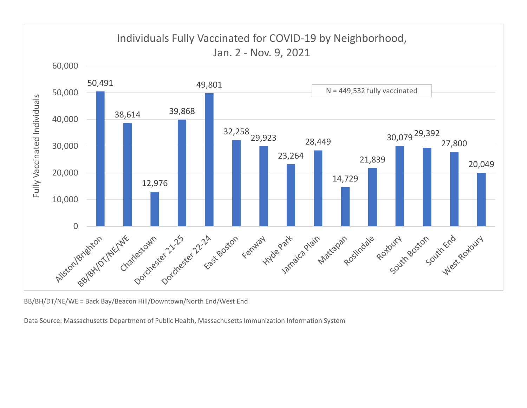

BB/BH/DT/NE/WE = Back Bay/Beacon Hill/Downtown/North End/West End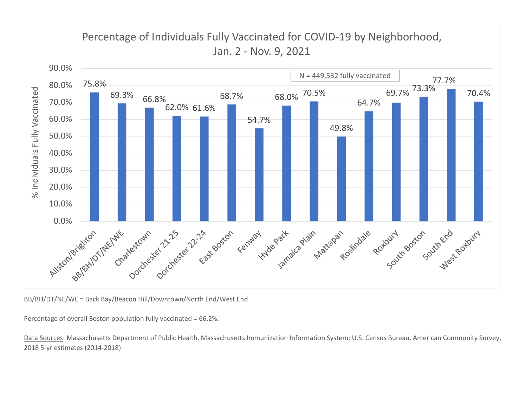

BB/BH/DT/NE/WE = Back Bay/Beacon Hill/Downtown/North End/West End

Percentage of overall Boston population fully vaccinated = 66.2%.